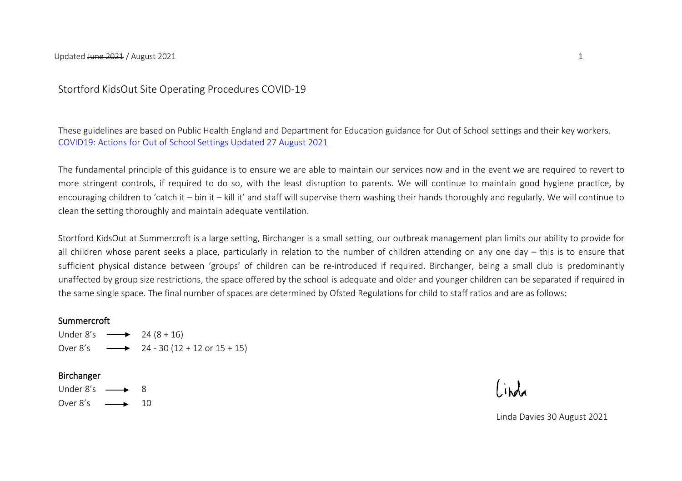## Stortford KidsOut Site Operating Procedures COVID-19

These guidelines are based on Public Health England and Department for Education guidance for Out of School settings and their key workers. [COVID19: Actions for Out of School Settings Updated 27 August 2021](https://www.gov.uk/government/publications/protective-measures-for-holiday-or-after-school-clubs-and-other-out-of-school-settings-for-children-during-the-coronavirus-covid-19-outbreak/covid-19-actions-for-out-of-school-settings)

The fundamental principle of this guidance is to ensure we are able to maintain our services now and in the event we are required to revert to more stringent controls, if required to do so, with the least disruption to parents. We will continue to maintain good hygiene practice, by encouraging children to 'catch it – bin it – kill it' and staff will supervise them washing their hands thoroughly and regularly. We will continue to clean the setting thoroughly and maintain adequate ventilation.

Stortford KidsOut at Summercroft is a large setting, Birchanger is a small setting, our outbreak management plan limits our ability to provide for all children whose parent seeks a place, particularly in relation to the number of children attending on any one day – this is to ensure that sufficient physical distance between 'groups' of children can be re-introduced if required. Birchanger, being a small club is predominantly unaffected by group size restrictions, the space offered by the school is adequate and older and younger children can be separated if required in the same single space. The final number of spaces are determined by Ofsted Regulations for child to staff ratios and are as follows:

## **Summercroft**

Under 8's  $\longrightarrow$  24 (8 + 16) Over  $8's \longrightarrow 24 - 30 (12 + 12)$  or  $15 + 15$ 

## Birchanger

Under  $8's \rightarrow 8$ Over  $8's \longrightarrow 10$ 

Linda Davies 30 August 2021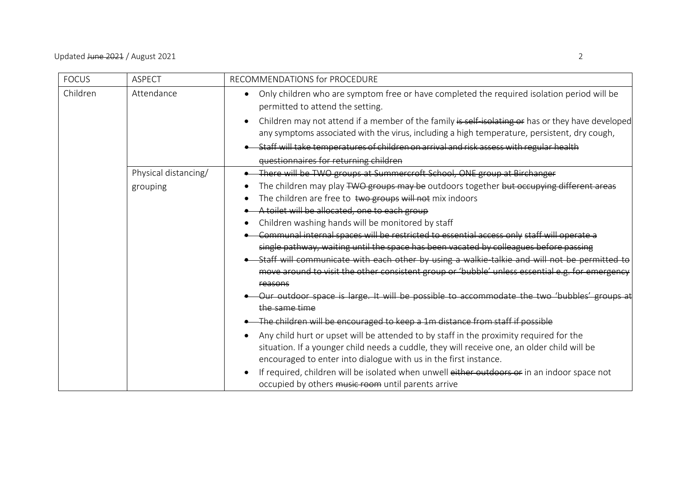| <b>FOCUS</b> | <b>ASPECT</b>        | RECOMMENDATIONS for PROCEDURE                                                                                                                                                                                                                             |
|--------------|----------------------|-----------------------------------------------------------------------------------------------------------------------------------------------------------------------------------------------------------------------------------------------------------|
| Children     | Attendance           | Only children who are symptom free or have completed the required isolation period will be<br>$\bullet$<br>permitted to attend the setting.                                                                                                               |
|              |                      | Children may not attend if a member of the family is self isolating or has or they have developed<br>any symptoms associated with the virus, including a high temperature, persistent, dry cough,                                                         |
|              |                      | Staff will take temperatures of children on arrival and risk assess with regular health                                                                                                                                                                   |
|              |                      | questionnaires for returning children                                                                                                                                                                                                                     |
|              | Physical distancing/ | There will be TWO groups at Summercroft School, ONE group at Birchanger                                                                                                                                                                                   |
|              | grouping             | The children may play TWO groups may be outdoors together but occupying different areas                                                                                                                                                                   |
|              |                      | The children are free to two groups will not mix indoors                                                                                                                                                                                                  |
|              |                      | A toilet will be allocated, one to each group                                                                                                                                                                                                             |
|              |                      | Children washing hands will be monitored by staff                                                                                                                                                                                                         |
|              |                      | Communal internal spaces will be restricted to essential access only staff will operate a                                                                                                                                                                 |
|              |                      | single pathway, waiting until the space has been vacated by colleagues before passing                                                                                                                                                                     |
|              |                      | Staff will communicate with each other by using a walkie talkie and will not be permitted to                                                                                                                                                              |
|              |                      | move around to visit the other consistent group or 'bubble' unless essential e.g. for emergency                                                                                                                                                           |
|              |                      | reasons                                                                                                                                                                                                                                                   |
|              |                      | Our outdoor space is large. It will be possible to accommodate the two 'bubbles'                                                                                                                                                                          |
|              |                      | the same time                                                                                                                                                                                                                                             |
|              |                      | The children will be encouraged to keep a 1m distance from staff if possible                                                                                                                                                                              |
|              |                      | Any child hurt or upset will be attended to by staff in the proximity required for the<br>situation. If a younger child needs a cuddle, they will receive one, an older child will be<br>encouraged to enter into dialogue with us in the first instance. |
|              |                      | If required, children will be isolated when unwell either outdoors or in an indoor space not<br>$\bullet$<br>occupied by others music room until parents arrive                                                                                           |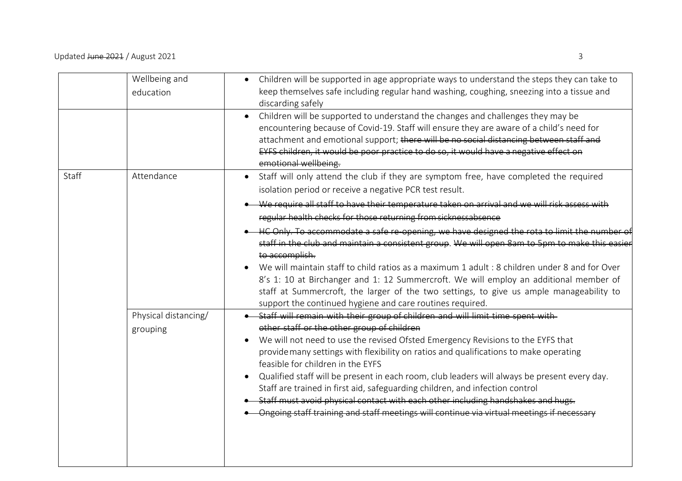|       | Wellbeing and<br>education       | Children will be supported in age appropriate ways to understand the steps they can take to<br>keep themselves safe including regular hand washing, coughing, sneezing into a tissue and<br>discarding safely                                                                                                                                                                                                                                                                                                                                                                                                                                                                                                 |
|-------|----------------------------------|---------------------------------------------------------------------------------------------------------------------------------------------------------------------------------------------------------------------------------------------------------------------------------------------------------------------------------------------------------------------------------------------------------------------------------------------------------------------------------------------------------------------------------------------------------------------------------------------------------------------------------------------------------------------------------------------------------------|
|       |                                  | Children will be supported to understand the changes and challenges they may be<br>۰<br>encountering because of Covid-19. Staff will ensure they are aware of a child's need for<br>attachment and emotional support; there will be no social distancing between staff and<br>EYFS children, it would be poor practice to do so, it would have a negative effect on<br>emotional wellbeing.                                                                                                                                                                                                                                                                                                                   |
| Staff | Attendance                       | Staff will only attend the club if they are symptom free, have completed the required<br>$\bullet$<br>isolation period or receive a negative PCR test result.<br>We require all staff to have their temperature taken on arrival and we will risk assess with<br>regular health checks for those returning from sicknessabsence                                                                                                                                                                                                                                                                                                                                                                               |
|       |                                  | HC Only. To accommodate a safe re-opening, we have designed the rota to limit the number of<br>staff in the club and maintain a consistent group. We will open 8am to 5pm to make this easie<br>to accomplish.<br>We will maintain staff to child ratios as a maximum 1 adult : 8 children under 8 and for Over<br>8's 1: 10 at Birchanger and 1: 12 Summercroft. We will employ an additional member of<br>staff at Summercroft, the larger of the two settings, to give us ample manageability to<br>support the continued hygiene and care routines required.                                                                                                                                              |
|       | Physical distancing/<br>grouping | Staff will remain with their group of children and will limit time spent with<br>other staff or the other group of children<br>We will not need to use the revised Ofsted Emergency Revisions to the EYFS that<br>provide many settings with flexibility on ratios and qualifications to make operating<br>feasible for children in the EYFS<br>Qualified staff will be present in each room, club leaders will always be present every day.<br>Staff are trained in first aid, safeguarding children, and infection control<br>Staff must avoid physical contact with each other including handshakes and hugs.<br>Ongoing staff training and staff meetings will continue via virtual meetings if necessary |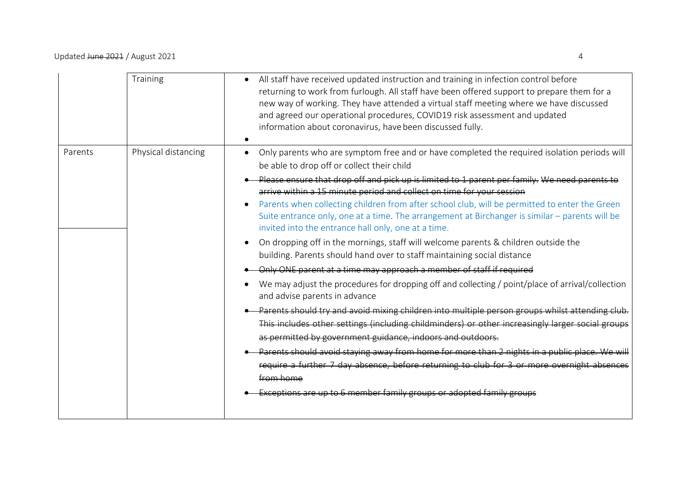|         | Training            | All staff have received updated instruction and training in infection control before<br>returning to work from furlough. All staff have been offered support to prepare them for a<br>new way of working. They have attended a virtual staff meeting where we have discussed<br>and agreed our operational procedures, COVID19 risk assessment and updated<br>information about coronavirus, have been discussed fully.                                                                                                                                                                                                                                                                                                                                                                                                                                                                                                                                                                                                                                                                                                                                                                                                                                                                                                                                                                                                                                                                                                                        |
|---------|---------------------|------------------------------------------------------------------------------------------------------------------------------------------------------------------------------------------------------------------------------------------------------------------------------------------------------------------------------------------------------------------------------------------------------------------------------------------------------------------------------------------------------------------------------------------------------------------------------------------------------------------------------------------------------------------------------------------------------------------------------------------------------------------------------------------------------------------------------------------------------------------------------------------------------------------------------------------------------------------------------------------------------------------------------------------------------------------------------------------------------------------------------------------------------------------------------------------------------------------------------------------------------------------------------------------------------------------------------------------------------------------------------------------------------------------------------------------------------------------------------------------------------------------------------------------------|
| Parents | Physical distancing | Only parents who are symptom free and or have completed the required isolation periods will<br>$\bullet$<br>be able to drop off or collect their child<br>Please ensure that drop off and pick up is limited to 1 parent per family. We need parents to<br>arrive within a 15 minute period and collect on time for your session<br>Parents when collecting children from after school club, will be permitted to enter the Green<br>Suite entrance only, one at a time. The arrangement at Birchanger is similar - parents will be<br>invited into the entrance hall only, one at a time.<br>On dropping off in the mornings, staff will welcome parents & children outside the<br>$\bullet$<br>building. Parents should hand over to staff maintaining social distance<br>Only ONE parent at a time may approach a member of staff if required<br>We may adjust the procedures for dropping off and collecting / point/place of arrival/collection<br>and advise parents in advance<br>Parents should try and avoid mixing children into multiple person groups whilst attending club.<br>This includes other settings (including childminders) or other increasingly larger social groups<br>as permitted by government guidance, indoors and outdoors.<br>Parents should avoid staying away from home for more than 2 nights in a public place. We will<br>require a further 7 day absence, before returning to club for 3 or more overnight absences<br>from home<br>Exceptions are up to 6 member family groups or adopted family groups |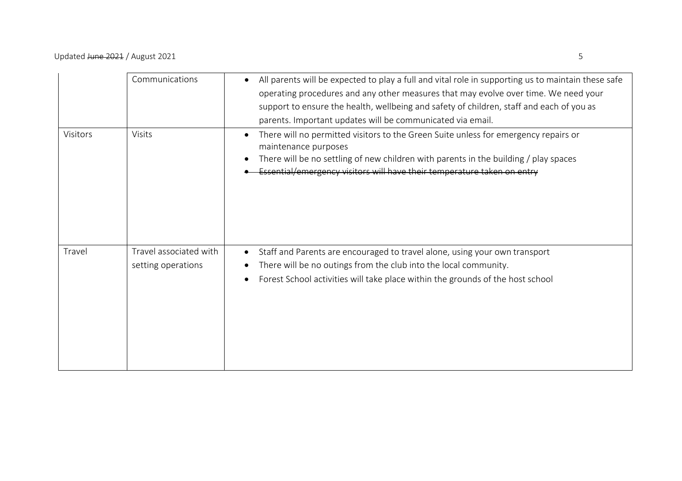|          | Communications                               | All parents will be expected to play a full and vital role in supporting us to maintain these safe<br>$\bullet$<br>operating procedures and any other measures that may evolve over time. We need your<br>support to ensure the health, wellbeing and safety of children, staff and each of you as<br>parents. Important updates will be communicated via email. |
|----------|----------------------------------------------|------------------------------------------------------------------------------------------------------------------------------------------------------------------------------------------------------------------------------------------------------------------------------------------------------------------------------------------------------------------|
| Visitors | Visits                                       | There will no permitted visitors to the Green Suite unless for emergency repairs or<br>$\bullet$<br>maintenance purposes<br>There will be no settling of new children with parents in the building / play spaces<br>Essential/emergency visitors will have their temperature taken on entry                                                                      |
| Travel   | Travel associated with<br>setting operations | Staff and Parents are encouraged to travel alone, using your own transport<br>$\bullet$<br>There will be no outings from the club into the local community.<br>Forest School activities will take place within the grounds of the host school<br>$\bullet$                                                                                                       |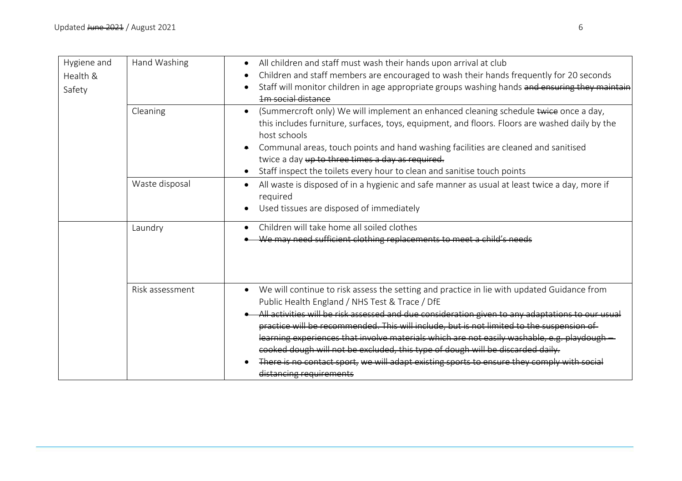| Hygiene and | Hand Washing    | All children and staff must wash their hands upon arrival at club                                                                                         |
|-------------|-----------------|-----------------------------------------------------------------------------------------------------------------------------------------------------------|
| Health &    |                 | Children and staff members are encouraged to wash their hands frequently for 20 seconds                                                                   |
| Safety      |                 | Staff will monitor children in age appropriate groups washing hands and ensuring they maintain                                                            |
|             |                 | <b>1m</b> social distance                                                                                                                                 |
|             | Cleaning        | (Summercroft only) We will implement an enhanced cleaning schedule twice once a day,<br>$\bullet$                                                         |
|             |                 | this includes furniture, surfaces, toys, equipment, and floors. Floors are washed daily by the<br>host schools                                            |
|             |                 | Communal areas, touch points and hand washing facilities are cleaned and sanitised                                                                        |
|             |                 | twice a day up to three times a day as required.                                                                                                          |
|             |                 | Staff inspect the toilets every hour to clean and sanitise touch points                                                                                   |
|             | Waste disposal  | All waste is disposed of in a hygienic and safe manner as usual at least twice a day, more if<br>required                                                 |
|             |                 | Used tissues are disposed of immediately                                                                                                                  |
|             | Laundry         | Children will take home all soiled clothes                                                                                                                |
|             |                 | We may need sufficient clothing replacements to meet a child's needs                                                                                      |
|             |                 |                                                                                                                                                           |
|             |                 |                                                                                                                                                           |
|             |                 |                                                                                                                                                           |
|             | Risk assessment | We will continue to risk assess the setting and practice in lie with updated Guidance from<br>$\bullet$<br>Public Health England / NHS Test & Trace / DfE |
|             |                 | All activities will be risk assessed and due consideration given to any adaptations to our usual                                                          |
|             |                 | practice will be recommended. This will include, but is not limited to the suspension of                                                                  |
|             |                 | learning experiences that involve materials which are not easily washable, e.g. playdough -                                                               |
|             |                 | cooked dough will not be excluded, this type of dough will be discarded daily.                                                                            |
|             |                 | There is no contact sport, we will adapt existing sports to ensure they comply with social                                                                |
|             |                 | distancing requirements                                                                                                                                   |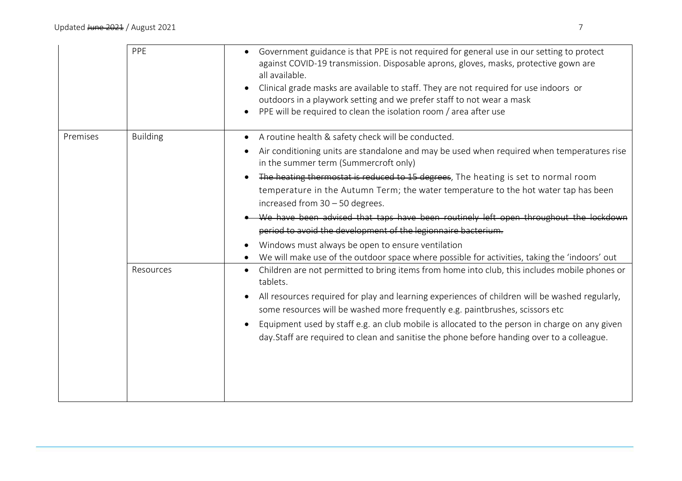|          | PPE                          | Government guidance is that PPE is not required for general use in our setting to protect<br>against COVID-19 transmission. Disposable aprons, gloves, masks, protective gown are<br>all available.<br>Clinical grade masks are available to staff. They are not required for use indoors or<br>$\bullet$<br>outdoors in a playwork setting and we prefer staff to not wear a mask<br>PPE will be required to clean the isolation room / area after use<br>$\bullet$                                                                                                                                                                                                                                                                                                                                                                                                                                                                                                                                                                                                                                                                                                                                                                                              |
|----------|------------------------------|-------------------------------------------------------------------------------------------------------------------------------------------------------------------------------------------------------------------------------------------------------------------------------------------------------------------------------------------------------------------------------------------------------------------------------------------------------------------------------------------------------------------------------------------------------------------------------------------------------------------------------------------------------------------------------------------------------------------------------------------------------------------------------------------------------------------------------------------------------------------------------------------------------------------------------------------------------------------------------------------------------------------------------------------------------------------------------------------------------------------------------------------------------------------------------------------------------------------------------------------------------------------|
| Premises | <b>Building</b><br>Resources | A routine health & safety check will be conducted.<br>$\bullet$<br>Air conditioning units are standalone and may be used when required when temperatures rise<br>$\bullet$<br>in the summer term (Summercroft only)<br>The heating thermostat is reduced to 15 degrees, The heating is set to normal room<br>temperature in the Autumn Term; the water temperature to the hot water tap has been<br>increased from $30 - 50$ degrees.<br>We have been advised that taps have been routinely left open throughout the lockdown<br>period to avoid the development of the legionnaire bacterium.<br>Windows must always be open to ensure ventilation<br>We will make use of the outdoor space where possible for activities, taking the 'indoors' out<br>Children are not permitted to bring items from home into club, this includes mobile phones or<br>tablets.<br>All resources required for play and learning experiences of children will be washed regularly,<br>some resources will be washed more frequently e.g. paintbrushes, scissors etc<br>Equipment used by staff e.g. an club mobile is allocated to the person in charge on any given<br>$\bullet$<br>day. Staff are required to clean and sanitise the phone before handing over to a colleague. |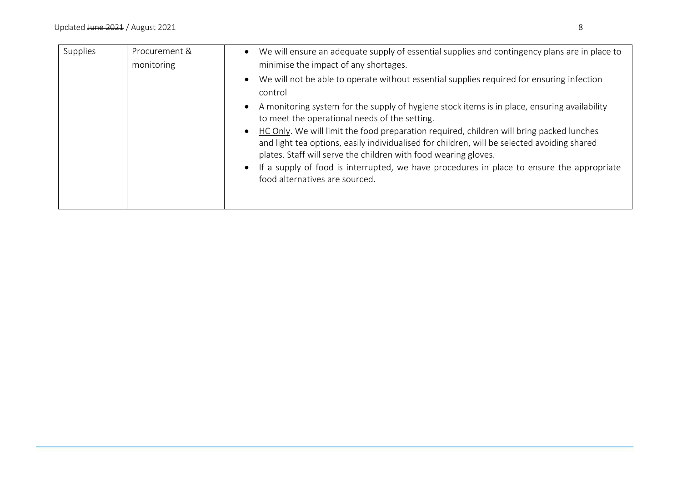| Supplies | Procurement &<br>monitoring | We will ensure an adequate supply of essential supplies and contingency plans are in place to<br>$\bullet$<br>minimise the impact of any shortages.                                                                                                                     |
|----------|-----------------------------|-------------------------------------------------------------------------------------------------------------------------------------------------------------------------------------------------------------------------------------------------------------------------|
|          |                             | We will not be able to operate without essential supplies required for ensuring infection<br>$\bullet$<br>control                                                                                                                                                       |
|          |                             | A monitoring system for the supply of hygiene stock items is in place, ensuring availability<br>$\bullet$<br>to meet the operational needs of the setting.                                                                                                              |
|          |                             | HC Only. We will limit the food preparation required, children will bring packed lunches<br>$\bullet$<br>and light tea options, easily individualised for children, will be selected avoiding shared<br>plates. Staff will serve the children with food wearing gloves. |
|          |                             | If a supply of food is interrupted, we have procedures in place to ensure the appropriate<br>$\bullet$<br>food alternatives are sourced.                                                                                                                                |